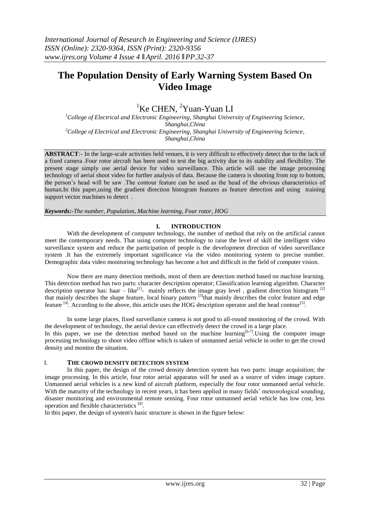# **The Population Density of Early Warning System Based On Video Image**

## <sup>1</sup>Ke CHEN, <sup>2</sup>Yuan-Yuan LI

*<sup>1</sup>College of Electrical and Electronic Engineering, Shanghai University of Engineering Science, Shanghai,China <sup>2</sup>College of Electrical and Electronic Engineering, Shanghai University of Engineering Science, Shanghai,China*

**ABSTRACT***:-* In the large-scale activities held venues, it is very difficult to effectively detect due to the lack of a fixed camera .Four rotor aircraft has been used to test the big activity due to its stability and flexibility. The present stage simply use aerial device for video surveillance. This article will use the image processing technology of aerial shoot video for further analysis of data. Because the camera is shooting from top to bottom, the person's head will be saw .The contour feature can be used as the head of the obvious characteristics of human.In this paper, using the gradient direction histogram features as feature detection and using training support vector machines to detect .

*Keywords:-The number, Population, Machine learning, Four rotor, HOG*

## **I. INTRODUCTION**

With the development of computer technology, the number of method that rely on the artificial cannot meet the contemporary needs. That using computer technology to raise the level of skill the intelligent video surveillance system and reduce the participation of people is the development direction of video surveillance system .It has the extremely important significance via the video monitoring system to precise number. Demographic data video monitoring technology has become a hot and difficult in the field of computer vision.

Now there are many detection methods, most of them are detection method based on machine learning. This detection method has two parts: character description operator; Classification learning algorithm. Character description operator has: haar  $-$  like<sup>[1]</sup>- mainly reflects the image gray level, gradient direction histogram<sup>[2]</sup> that mainly describes the shape feature, local binary pattern <sup>[3]</sup>that mainly describes the color feature and edge feature <sup>[4]</sup>. According to the above, this article uses the HOG description operator and the head contour<sup>[5]</sup>.

In some large places, fixed surveillance camera is not good to all-round monitoring of the crowd. With the development of technology, the aerial device can effectively detect the crowd in a large place.

In this paper, we use the detection method based on the machine learning<sup>[6-7]</sup>. Using the computer image processing technology to shoot video offline which is taken of unmanned aerial vehicle in order to get the crowd density and monitor the situation.

## I. **THE CROWD DENSITY DETECTION SYSTEM**

In this paper, the design of the crowd density detection system has two parts: image acquisition; the image processing. In this article, four rotor aerial apparatus will be used as a source of video image capture. Unmanned aerial vehicles is a new kind of aircraft platform, especially the four rotor unmanned aerial vehicle. With the maturity of the technology in recent years, it has been applied in many fields' meteorological sounding, disaster monitoring and environmental remote sensing. Four rotor unmanned aerial vehicle has low cost, less operation and flexible characteristics [8].

In this paper, the design of system's basic structure is shown in the figure below: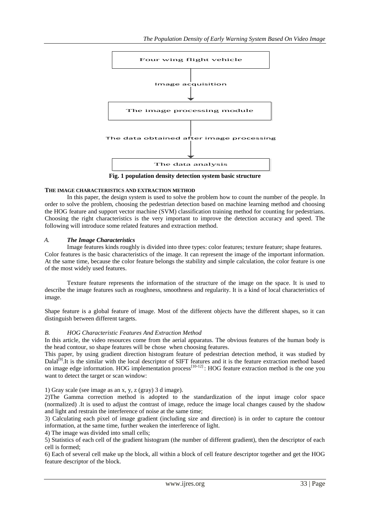

**Fig. 1 population density detection system basic structure**

## **THE IMAGE CHARACTERISTICS AND EXTRACTION METHOD**

In this paper, the design system is used to solve the problem how to count the number of the people. In order to solve the problem, choosing the pedestrian detection based on machine learning method and choosing the HOG feature and support vector machine (SVM) classification training method for counting for pedestrians. Choosing the right characteristics is the very important to improve the detection accuracy and speed. The following will introduce some related features and extraction method.

## *A. The Image Characteristics*

Image features kinds roughly is divided into three types: color features; texture feature; shape features. Color features is the basic characteristics of the image. It can represent the image of the important information. At the same time, because the color feature belongs the stability and simple calculation, the color feature is one of the most widely used features.

Texture feature represents the information of the structure of the image on the space. It is used to describe the image features such as roughness, smoothness and regularity. It is a kind of local characteristics of image.

Shape feature is a global feature of image. Most of the different objects have the different shapes, so it can distinguish between different targets.

## *B. HOG Characteristic Features And Extraction Method*

In this article, the video resources come from the aerial apparatus. The obvious features of the human body is the head contour, so shape features will be chose when choosing features.

This paper, by using gradient direction histogram feature of pedestrian detection method, it was studied by Dalal<sup>[9]</sup>.It is the similar with the local descriptor of SIFT features and it is the feature extraction method based on image edge information. HOG implementation process<sup>[10-12]</sup>: HOG feature extraction method is the one you want to detect the target or scan window:

1) Gray scale (see image as an x, y, z (gray) 3 d image).

2)The Gamma correction method is adopted to the standardization of the input image color space (normalized) .It is used to adjust the contrast of image, reduce the image local changes caused by the shadow and light and restrain the interference of noise at the same time;

3) Calculating each pixel of image gradient (including size and direction) is in order to capture the contour information, at the same time, further weaken the interference of light.

4) The image was divided into small cells;

5) Statistics of each cell of the gradient histogram (the number of different gradient), then the descriptor of each cell is formed;

6) Each of several cell make up the block, all within a block of cell feature descriptor together and get the HOG feature descriptor of the block.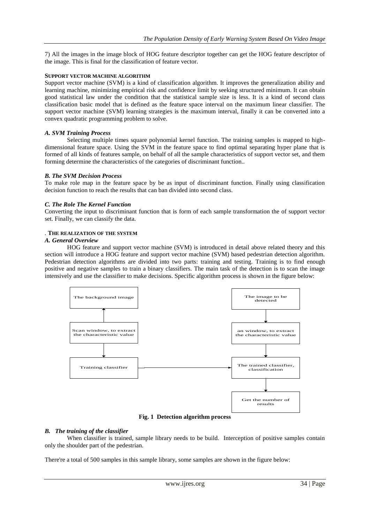7) All the images in the image block of HOG feature descriptor together can get the HOG feature descriptor of the image. This is final for the classification of feature vector.

#### **SUPPORT VECTOR MACHINE ALGORITHM**

Support vector machine (SVM) is a kind of classification algorithm. It improves the generalization ability and learning machine, minimizing empirical risk and confidence limit by seeking structured minimum. It can obtain good statistical law under the condition that the statistical sample size is less. It is a kind of second class classification basic model that is defined as the feature space interval on the maximum linear classifier. The support vector machine (SVM) learning strategies is the maximum interval, finally it can be converted into a convex quadratic programming problem to solve.

#### *A. SVM Training Process*

Selecting multiple times square polynomial kernel function. The training samples is mapped to highdimensional feature space. Using the SVM in the feature space to find optimal separating hyper plane that is formed of all kinds of features sample, on behalf of all the sample characteristics of support vector set, and them forming determine the characteristics of the categories of discriminant function..

#### *B. The SVM Decision Process*

To make role map in the feature space by be as input of discriminant function. Finally using classification decision function to reach the results that can ban divided into second class.

#### *C. The Role The Kernel Function*

Converting the input to discriminant function that is form of each sample transformation the of support vector set. Finally, we can classify the data.

#### *.* **THE REALIZATION OF THE SYSTEM**

#### *A. General Overview*

HOG feature and support vector machine (SVM) is introduced in detail above related theory and this section will introduce a HOG feature and support vector machine (SVM) based pedestrian detection algorithm. Pedestrian detection algorithms are divided into two parts: training and testing. Training is to find enough positive and negative samples to train a binary classifiers. The main task of the detection is to scan the image intensively and use the classifier to make decisions. Specific algorithm process is shown in the figure below:



**Fig. 1 Detection algorithm process**

#### *B. The training of the classifier*

When classifier is trained, sample library needs to be build. Interception of positive samples contain only the shoulder part of the pedestrian.

There're a total of 500 samples in this sample library, some samples are shown in the figure below: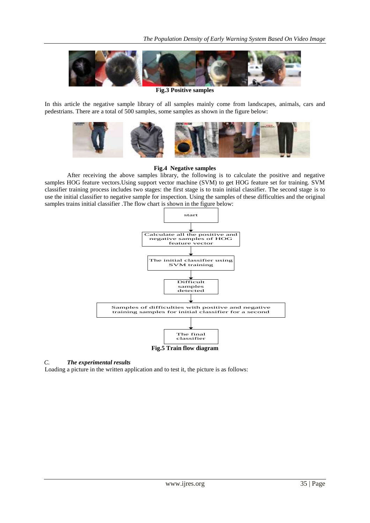

**Fig.3 Positive samples**

In this article the negative sample library of all samples mainly come from landscapes, animals, cars and pedestrians. There are a total of 500 samples, some samples as shown in the figure below:



### **Fig.4 Negative samples**

After receiving the above samples library, the following is to calculate the positive and negative samples HOG feature vectors.Using support vector machine (SVM) to get HOG feature set for training. SVM classifier training process includes two stages: the first stage is to train initial classifier. The second stage is to use the initial classifier to negative sample for inspection. Using the samples of these difficulties and the original samples trains initial classifier .The flow chart is shown in the figure below:



## *C. The experimental results*

Loading a picture in the written application and to test it, the picture is as follows: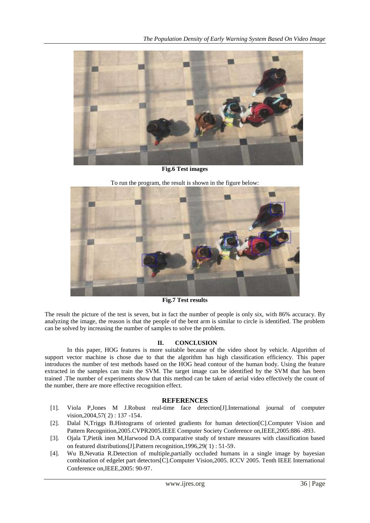

**Fig.6 Test images**

To run the program, the result is shown in the figure below:



**Fig.7 Test results**

The result the picture of the test is seven, but in fact the number of people is only six, with 86% accuracy. By analyzing the image, the reason is that the people of the bent arm is similar to circle is identified. The problem can be solved by increasing the number of samples to solve the problem.

## **II. CONCLUSION**

In this paper, HOG features is more suitable because of the video shoot by vehicle. Algorithm of support vector machine is chose due to that the algorithm has high classification efficiency. This paper introduces the number of test methods based on the HOG head contour of the human body. Using the feature extracted in the samples can train the SVM. The target image can be identified by the SVM that has been trained .The number of experiments show that this method can be taken of aerial video effectively the count of the number, there are more effective recognition effect.

## **REFERENCES**

- [1]. Viola P,Jones M J.Robust real-time face detection[J].International journal of computer vision,2004,57( 2) : 137 -154.
- [2]. Dalal N,Triggs B.Histograms of oriented gradients for human detection[C].Computer Vision and Pattern Recognition,2005.CVPR2005.IEEE Computer Society Conference on,IEEE,2005:886 -893.
- [3]. Ojala T,Pietik inen M,Harwood D.A comparative study of texture measures with classification based on featured distributions[J].Pattern recognition,1996,29( 1) : 51-59.
- [4]. Wu B,Nevatia R.Detection of multiple,partially occluded humans in a single image by bayesian combination of edgelet part detectors[C].Computer Vision,2005. ICCV 2005. Tenth IEEE International Conference on,IEEE,2005: 90-97.